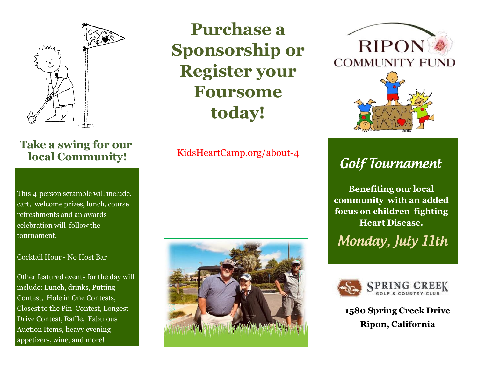

## **Take a swing for our local Community!**

This 4-person scramble will include, cart, welcome prizes, lunch, course refreshments and an awards celebration will follow the tournament.

#### Cocktail Hour - No Host Bar

Other featured events for the day will include: Lunch, drinks, Putting Contest, Hole in One Contests, Closest to the Pin Contest, Longest Drive Contest, Raffle, Fabulous Auction Items, heavy evening appetizers, wine, and more!

**Purchase a Sponsorship or Register your Foursome today!**

#### KidsHeartCamp.org/about-4





# **Golf Tournament**

**Benefiting our local community with an added focus on children fighting Heart Disease.**

Monday, July 11th



**1580 Spring Creek Drive Ripon, California**